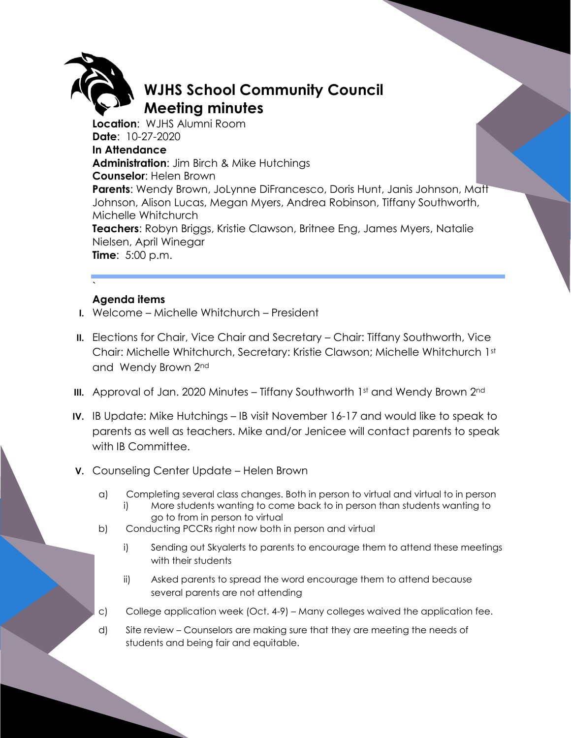

## **WJHS School Community Council Meeting minutes**

**Location**: WJHS Alumni Room **Date**: 10-27-2020 **In Attendance Administration**: Jim Birch & Mike Hutchings **Counselor**: Helen Brown **Parents**: Wendy Brown, JoLynne DiFrancesco, Doris Hunt, Janis Johnson, Matt Johnson, Alison Lucas, Megan Myers, Andrea Robinson, Tiffany Southworth, Michelle Whitchurch **Teachers**: Robyn Briggs, Kristie Clawson, Britnee Eng, James Myers, Natalie Nielsen, April Winegar **Time**: 5:00 p.m.

## **Agenda items**

`

- **I.** Welcome Michelle Whitchurch President
- **II.** Elections for Chair, Vice Chair and Secretary Chair: Tiffany Southworth, Vice Chair: Michelle Whitchurch, Secretary: Kristie Clawson; Michelle Whitchurch 1st and Wendy Brown 2nd
- **III.** Approval of Jan. 2020 Minutes Tiffany Southworth 1st and Wendy Brown 2<sup>nd</sup>
- **IV.** IB Update: Mike Hutchings IB visit November 16-17 and would like to speak to parents as well as teachers. Mike and/or Jenicee will contact parents to speak with IB Committee.
- **V.** Counseling Center Update Helen Brown
	- a) Completing several class changes. Both in person to virtual and virtual to in person i) More students wanting to come back to in person than students wanting to
	- go to from in person to virtual b) Conducting PCCRs right now both in person and virtual
		- i) Sending out Skyalerts to parents to encourage them to attend these meetings with their students
		- ii) Asked parents to spread the word encourage them to attend because several parents are not attending
	- c) College application week (Oct. 4-9) Many colleges waived the application fee.
	- d) Site review Counselors are making sure that they are meeting the needs of students and being fair and equitable.